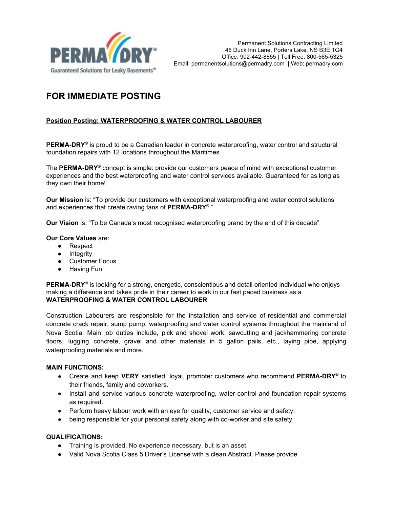

# **FOR IMMEDIATE POSTING**

## **Position Posting: WATERPROOFING & WATER CONTROL LABOURER**

**PERMA-DRY ®** is proud to be a Canadian leader in concrete waterproofing, water control and structural foundation repairs with 12 locations throughout the Maritimes.

The **PERMA-DRY ®** concept is simple: provide our customers peace of mind with exceptional customer experiences and the best waterproofing and water control services available. Guaranteed for as long as they own their home!

**Our Mission** is: "To provide our customers with exceptional waterproofing and water control solutions and experiences that create raving fans of **PERMA-DRY ®** ."

**Our Vision** is: "To be Canada's most recognised waterproofing brand by the end of this decade"

#### **Our Core Values** are:

- Respect
- Integrity
- Customer Focus
- Having Fun

**PERMA-DRY ®** is looking for a strong, energetic, conscientious and detail oriented individual who enjoys making a difference and takes pride in their career to work in our fast paced business as a **WATERPROOFING & WATER CONTROL LABOURER**

Construction Labourers are responsible for the installation and service of residential and commercial concrete crack repair, sump pump, waterproofing and water control systems throughout the mainland of Nova Scotia. Main job duties include, pick and shovel work, sawcutting and jackhammering concrete floors, lugging concrete, gravel and other materials in 5 gallon pails, etc., laying pipe, applying waterproofing materials and more.

### **MAIN FUNCTIONS:**

- Create and keep **VERY** satisfied, loyal, promoter customers who recommend **PERMA-DRY ®** to their friends, family and coworkers.
- Install and service various concrete waterproofing, water control and foundation repair systems as required.
- Perform heavy labour work with an eye for quality, customer service and safety.
- being responsible for your personal safety along with co-worker and site safety

#### **QUALIFICATIONS:**

- Training is provided. No experience necessary, but is an asset.
- Valid Nova Scotia Class 5 Driver's License with a clean Abstract. Please provide